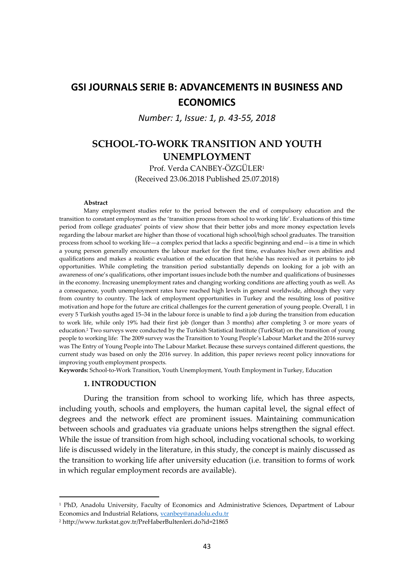# **GSI JOURNALS SERIE B: ADVANCEMENTS IN BUSINESS AND ECONOMICS**

*Number: 1, Issue: 1, p. 43-55, 2018*

# **SCHOOL-TO-WORK TRANSITION AND YOUTH UNEMPLOYMENT**

Prof. Verda CANBEY-ÖZGÜLER<sup>1</sup> (Received 23.06.2018 Published 25.07.2018)

#### **Abstract**

Many employment studies refer to the period between the end of compulsory education and the transition to constant employment as the 'transition process from school to working life'. Evaluations of this time period from college graduates' points of view show that their better jobs and more money expectation levels regarding the labour market are higher than those of vocational high school/high school graduates. The transition process from school to working life—a complex period that lacks a specific beginning and end—is a time in which a young person generally encounters the labour market for the first time, evaluates his/her own abilities and qualifications and makes a realistic evaluation of the education that he/she has received as it pertains to job opportunities. While completing the transition period substantially depends on looking for a job with an awareness of one's qualifications, other important issues include both the number and qualifications of businesses in the economy. Increasing unemployment rates and changing working conditions are affecting youth as well. As a consequence, youth unemployment rates have reached high levels in general worldwide, although they vary from country to country. The lack of employment opportunities in Turkey and the resulting loss of positive motivation and hope for the future are critical challenges for the current generation of young people. Overall, 1 in every 5 Turkish youths aged 15–34 in the labour force is unable to find a job during the transition from education to work life, while only 19% had their first job (longer than 3 months) after completing 3 or more years of education.<sup>2</sup> Two surveys were conducted by the Turkish Statistical Institute (TurkStat) on the transition of young people to working life: The 2009 survey was the Transition to Young People's Labour Market and the 2016 survey was The Entry of Young People into The Labour Market. Because these surveys contained different questions, the current study was based on only the 2016 survey. In addition, this paper reviews recent policy innovations for improving youth employment prospects.

**Keywords:** School-to-Work Transition, Youth Unemployment, Youth Employment in Turkey, Education

#### **1. INTRODUCTION**

 $\overline{a}$ 

During the transition from school to working life, which has three aspects, including youth, schools and employers, the human capital level, the signal effect of degrees and the network effect are prominent issues. Maintaining communication between schools and graduates via graduate unions helps strengthen the signal effect. While the issue of transition from high school, including vocational schools, to working life is discussed widely in the literature, in this study, the concept is mainly discussed as the transition to working life after university education (i.e. transition to forms of work in which regular employment records are available).

<sup>&</sup>lt;sup>1</sup> PhD, Anadolu University, Faculty of Economics and Administrative Sciences, Department of Labour Economics and Industrial Relations[, vcanbey@anadolu.edu.tr](mailto:vcanbey@anadolu.edu.tr)

<sup>2</sup> <http://www.turkstat.gov.tr/PreHaberBultenleri.do?id=21865>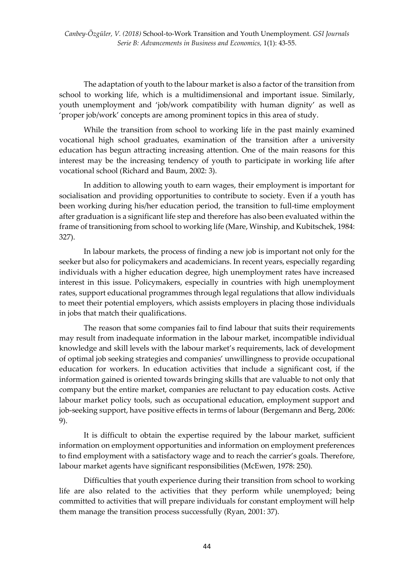The adaptation of youth to the labour market is also a factor of the transition from school to working life, which is a multidimensional and important issue. Similarly, youth unemployment and 'job/work compatibility with human dignity' as well as 'proper job/work' concepts are among prominent topics in this area of study.

While the transition from school to working life in the past mainly examined vocational high school graduates, examination of the transition after a university education has begun attracting increasing attention. One of the main reasons for this interest may be the increasing tendency of youth to participate in working life after vocational school (Richard and Baum, 2002: 3).

In addition to allowing youth to earn wages, their employment is important for socialisation and providing opportunities to contribute to society. Even if a youth has been working during his/her education period, the transition to full-time employment after graduation is a significant life step and therefore has also been evaluated within the frame of transitioning from school to working life (Mare, Winship, and Kubitschek, 1984: 327).

In labour markets, the process of finding a new job is important not only for the seeker but also for policymakers and academicians. In recent years, especially regarding individuals with a higher education degree, high unemployment rates have increased interest in this issue. Policymakers, especially in countries with high unemployment rates, support educational programmes through legal regulations that allow individuals to meet their potential employers, which assists employers in placing those individuals in jobs that match their qualifications.

The reason that some companies fail to find labour that suits their requirements may result from inadequate information in the labour market, incompatible individual knowledge and skill levels with the labour market's requirements, lack of development of optimal job seeking strategies and companies' unwillingness to provide occupational education for workers. In education activities that include a significant cost, if the information gained is oriented towards bringing skills that are valuable to not only that company but the entire market, companies are reluctant to pay education costs. Active labour market policy tools, such as occupational education, employment support and job-seeking support, have positive effects in terms of labour (Bergemann and Berg, 2006: 9).

It is difficult to obtain the expertise required by the labour market, sufficient information on employment opportunities and information on employment preferences to find employment with a satisfactory wage and to reach the carrier's goals. Therefore, labour market agents have significant responsibilities (McEwen, 1978: 250).

Difficulties that youth experience during their transition from school to working life are also related to the activities that they perform while unemployed; being committed to activities that will prepare individuals for constant employment will help them manage the transition process successfully (Ryan, 2001: 37).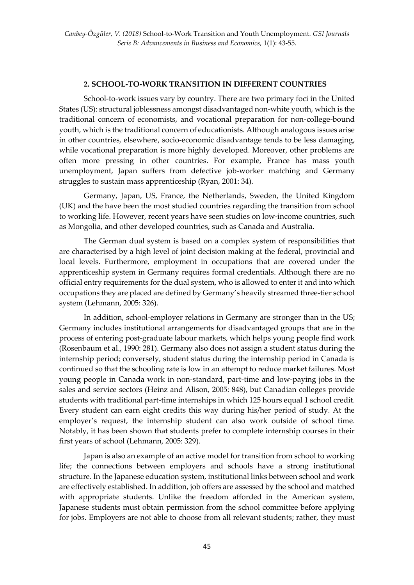### **2. SCHOOL-TO-WORK TRANSITION IN DIFFERENT COUNTRIES**

School-to-work issues vary by country. There are two primary foci in the United States (US): structural joblessness amongst disadvantaged non-white youth, which is the traditional concern of economists, and vocational preparation for non-college-bound youth, which is the traditional concern of educationists. Although analogous issues arise in other countries, elsewhere, socio-economic disadvantage tends to be less damaging, while vocational preparation is more highly developed. Moreover, other problems are often more pressing in other countries. For example, France has mass youth unemployment, Japan suffers from defective job-worker matching and Germany struggles to sustain mass apprenticeship (Ryan, 2001: 34).

Germany, Japan, US, France, the Netherlands, Sweden, the United Kingdom (UK) and the have been the most studied countries regarding the transition from school to working life. However, recent years have seen studies on low-income countries, such as Mongolia, and other developed countries, such as Canada and Australia.

The German dual system is based on a complex system of responsibilities that are characterised by a high level of joint decision making at the federal, provincial and local levels. Furthermore, employment in occupations that are covered under the apprenticeship system in Germany requires formal credentials. Although there are no official entry requirements for the dual system, who is allowed to enter it and into which occupations they are placed are defined by Germany's heavily streamed three-tier school system (Lehmann, 2005: 326).

In addition, school-employer relations in Germany are stronger than in the US; Germany includes institutional arrangements for disadvantaged groups that are in the process of entering post-graduate labour markets, which helps young people find work (Rosenbaum et al., 1990: 281). Germany also does not assign a student status during the internship period; conversely, student status during the internship period in Canada is continued so that the schooling rate is low in an attempt to reduce market failures. Most young people in Canada work in non-standard, part-time and low-paying jobs in the sales and service sectors (Heinz and Alison, 2005: 848), but Canadian colleges provide students with traditional part-time internships in which 125 hours equal 1 school credit. Every student can earn eight credits this way during his/her period of study. At the employer's request, the internship student can also work outside of school time. Notably, it has been shown that students prefer to complete internship courses in their first years of school (Lehmann, 2005: 329).

Japan is also an example of an active model for transition from school to working life; the connections between employers and schools have a strong institutional structure. In the Japanese education system, institutional links between school and work are effectively established. In addition, job offers are assessed by the school and matched with appropriate students. Unlike the freedom afforded in the American system, Japanese students must obtain permission from the school committee before applying for jobs. Employers are not able to choose from all relevant students; rather, they must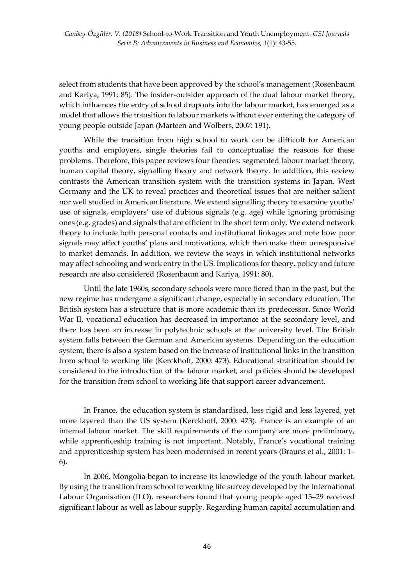select from students that have been approved by the school's management (Rosenbaum and Kariya, 1991: 85). The insider-outsider approach of the dual labour market theory, which influences the entry of school dropouts into the labour market, has emerged as a model that allows the transition to labour markets without ever entering the category of young people outside Japan (Marteen and Wolbers, 2007: 191).

While the transition from high school to work can be difficult for American youths and employers, single theories fail to conceptualise the reasons for these problems. Therefore, this paper reviews four theories: segmented labour market theory, human capital theory, signalling theory and network theory. In addition, this review contrasts the American transition system with the transition systems in Japan, West Germany and the UK to reveal practices and theoretical issues that are neither salient nor well studied in American literature. We extend signalling theory to examine youths' use of signals, employers' use of dubious signals (e.g. age) while ignoring promising ones (e.g. grades) and signals that are efficient in the short term only. We extend network theory to include both personal contacts and institutional linkages and note how poor signals may affect youths' plans and motivations, which then make them unresponsive to market demands. In addition, we review the ways in which institutional networks may affect schooling and work entry in the US. Implications for theory, policy and future research are also considered (Rosenbaum and Kariya, 1991: 80).

Until the late 1960s, secondary schools were more tiered than in the past, but the new regime has undergone a significant change, especially in secondary education. The British system has a structure that is more academic than its predecessor. Since World War II, vocational education has decreased in importance at the secondary level, and there has been an increase in polytechnic schools at the university level. The British system falls between the German and American systems. Depending on the education system, there is also a system based on the increase of institutional links in the transition from school to working life (Kerckhoff, 2000: 473). Educational stratification should be considered in the introduction of the labour market, and policies should be developed for the transition from school to working life that support career advancement.

In France, the education system is standardised, less rigid and less layered, yet more layered than the US system (Kerckhoff, 2000: 473). France is an example of an internal labour market. The skill requirements of the company are more preliminary, while apprenticeship training is not important. Notably, France's vocational training and apprenticeship system has been modernised in recent years (Brauns et al., 2001: 1– 6).

In 2006, Mongolia began to increase its knowledge of the youth labour market. By using the transition from school to working life survey developed by the International Labour Organisation (ILO), researchers found that young people aged 15–29 received significant labour as well as labour supply. Regarding human capital accumulation and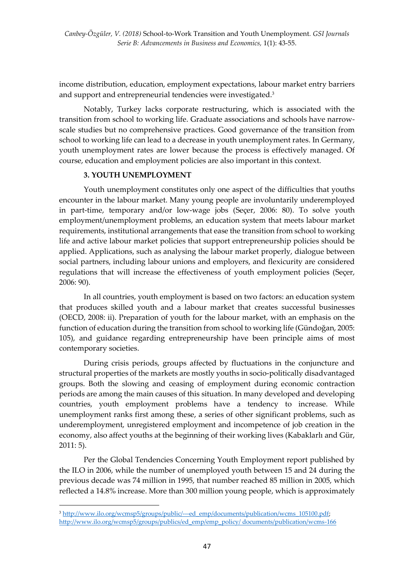income distribution, education, employment expectations, labour market entry barriers and support and entrepreneurial tendencies were investigated. 3

Notably, Turkey lacks corporate restructuring, which is associated with the transition from school to working life. Graduate associations and schools have narrowscale studies but no comprehensive practices. Good governance of the transition from school to working life can lead to a decrease in youth unemployment rates. In Germany, youth unemployment rates are lower because the process is effectively managed. Of course, education and employment policies are also important in this context.

## **3. YOUTH UNEMPLOYMENT**

Youth unemployment constitutes only one aspect of the difficulties that youths encounter in the labour market. Many young people are involuntarily underemployed in part-time, temporary and/or low-wage jobs (Seçer, 2006: 80). To solve youth employment/unemployment problems, an education system that meets labour market requirements, institutional arrangements that ease the transition from school to working life and active labour market policies that support entrepreneurship policies should be applied. Applications, such as analysing the labour market properly, dialogue between social partners, including labour unions and employers, and flexicurity are considered regulations that will increase the effectiveness of youth employment policies (Seçer, 2006: 90).

In all countries, youth employment is based on two factors: an education system that produces skilled youth and a labour market that creates successful businesses (OECD, 2008: ii). Preparation of youth for the labour market, with an emphasis on the function of education during the transition from school to working life (Gündoğan, 2005: 105), and guidance regarding entrepreneurship have been principle aims of most contemporary societies.

During crisis periods, groups affected by fluctuations in the conjuncture and structural properties of the markets are mostly youths in socio-politically disadvantaged groups. Both the slowing and ceasing of employment during economic contraction periods are among the main causes of this situation. In many developed and developing countries, youth employment problems have a tendency to increase. While unemployment ranks first among these, a series of other significant problems, such as underemployment, unregistered employment and incompetence of job creation in the economy, also affect youths at the beginning of their working lives (Kabaklarlı and Gür, 2011: 5).

Per the Global Tendencies Concerning Youth Employment report published by the ILO in 2006, while the number of unemployed youth between 15 and 24 during the previous decade was 74 million in 1995, that number reached 85 million in 2005, which reflected a 14.8% increase. More than 300 million young people, which is approximately

**.** 

<sup>&</sup>lt;sup>3</sup> [http://www.ilo.org/wcmsp5/groups/public/---ed\\_emp/documents/publication/wcms\\_105100.pdf;](http://www.ilo.org/wcmsp5/groups/public/---ed_emp/documents/publication/wcms_105100.pdf) [http://www.ilo.org/wcmsp5/groups/publics/ed\\_emp/emp\\_policy/ documents/publication/wcms-166](http://www.ilo.org/wcmsp5/groups/publics/ed_emp/emp_policy/%20documents/publication/wcms-166)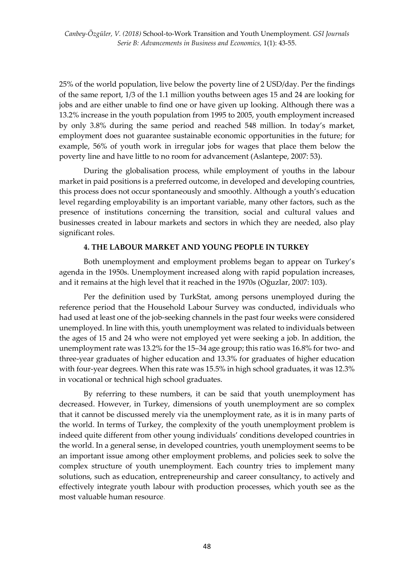25% of the world population, live below the poverty line of 2 USD/day. Per the findings of the same report, 1/3 of the 1.1 million youths between ages 15 and 24 are looking for jobs and are either unable to find one or have given up looking. Although there was a 13.2% increase in the youth population from 1995 to 2005, youth employment increased by only 3.8% during the same period and reached 548 million. In today's market, employment does not guarantee sustainable economic opportunities in the future; for example, 56% of youth work in irregular jobs for wages that place them below the poverty line and have little to no room for advancement (Aslantepe, 2007: 53).

During the globalisation process, while employment of youths in the labour market in paid positions is a preferred outcome, in developed and developing countries, this process does not occur spontaneously and smoothly. Although a youth's education level regarding employability is an important variable, many other factors, such as the presence of institutions concerning the transition, social and cultural values and businesses created in labour markets and sectors in which they are needed, also play significant roles.

### **4. THE LABOUR MARKET AND YOUNG PEOPLE IN TURKEY**

Both unemployment and employment problems began to appear on Turkey's agenda in the 1950s. Unemployment increased along with rapid population increases, and it remains at the high level that it reached in the 1970s (Oğuzlar, 2007: 103).

Per the definition used by TurkStat, among persons unemployed during the reference period that the Household Labour Survey was conducted, individuals who had used at least one of the job-seeking channels in the past four weeks were considered unemployed. In line with this, youth unemployment was related to individuals between the ages of 15 and 24 who were not employed yet were seeking a job. In addition, the unemployment rate was 13.2% for the 15–34 age group; this ratio was 16.8% for two- and three-year graduates of higher education and 13.3% for graduates of higher education with four-year degrees. When this rate was 15.5% in high school graduates, it was 12.3% in vocational or technical high school graduates.

By referring to these numbers, it can be said that youth unemployment has decreased. However, in Turkey, dimensions of youth unemployment are so complex that it cannot be discussed merely via the unemployment rate, as it is in many parts of the world. In terms of Turkey, the complexity of the youth unemployment problem is indeed quite different from other young individuals' conditions developed countries in the world. In a general sense, in developed countries, youth unemployment seems to be an important issue among other employment problems, and policies seek to solve the complex structure of youth unemployment. Each country tries to implement many solutions, such as education, entrepreneurship and career consultancy, to actively and effectively integrate youth labour with production processes, which youth see as the most valuable human resource.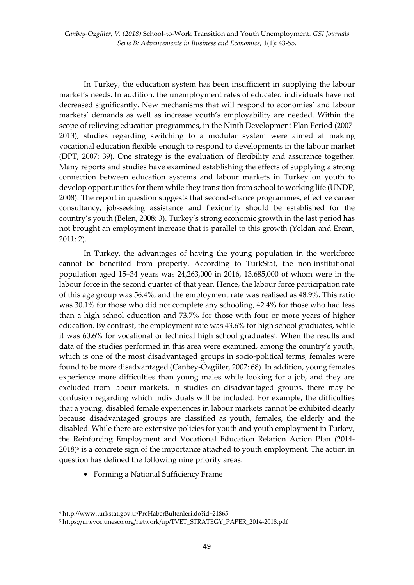*Canbey-Özgüler, V. (2018)* School-to-Work Transition and Youth Unemployment*. GSI Journals Serie B: Advancements in Business and Economics,* 1(1): 43-55.

In Turkey, the education system has been insufficient in supplying the labour market's needs. In addition, the unemployment rates of educated individuals have not decreased significantly. New mechanisms that will respond to economies' and labour markets' demands as well as increase youth's employability are needed. Within the scope of relieving education programmes, in the Ninth Development Plan Period (2007- 2013), studies regarding switching to a modular system were aimed at making vocational education flexible enough to respond to developments in the labour market (DPT, 2007: 39). One strategy is the evaluation of flexibility and assurance together. Many reports and studies have examined establishing the effects of supplying a strong connection between education systems and labour markets in Turkey on youth to develop opportunities for them while they transition from school to working life (UNDP, 2008). The report in question suggests that second-chance programmes, effective career consultancy, job-seeking assistance and flexicurity should be established for the country's youth (Belen, 2008: 3). Turkey's strong economic growth in the last period has not brought an employment increase that is parallel to this growth (Yeldan and Ercan, 2011: 2).

In Turkey, the advantages of having the young population in the workforce cannot be benefited from properly. According to TurkStat, the non-institutional population aged 15–34 years was 24,263,000 in 2016, 13,685,000 of whom were in the labour force in the second quarter of that year. Hence, the labour force participation rate of this age group was 56.4%, and the employment rate was realised as 48.9%. This ratio was 30.1% for those who did not complete any schooling, 42.4% for those who had less than a high school education and 73.7% for those with four or more years of higher education. By contrast, the employment rate was 43.6% for high school graduates, while it was 60.6% for vocational or technical high school graduates<sup>4</sup>. When the results and data of the studies performed in this area were examined, among the country's youth, which is one of the most disadvantaged groups in socio-political terms, females were found to be more disadvantaged (Canbey-Özgüler, 2007: 68). In addition, young females experience more difficulties than young males while looking for a job, and they are excluded from labour markets. In studies on disadvantaged groups, there may be confusion regarding which individuals will be included. For example, the difficulties that a young, disabled female experiences in labour markets cannot be exhibited clearly because disadvantaged groups are classified as youth, females, the elderly and the disabled. While there are extensive policies for youth and youth employment in Turkey, the Reinforcing Employment and Vocational Education Relation Action Plan (2014- 2018) 5 is a concrete sign of the importance attached to youth employment. The action in question has defined the following nine priority areas:

Forming a National Sufficiency Frame

**.** 

<sup>4</sup> http://www.turkstat.gov.tr/PreHaberBultenleri.do?id=21865

<sup>5</sup> https://unevoc.unesco.org/network/up/TVET\_STRATEGY\_PAPER\_2014-2018.pdf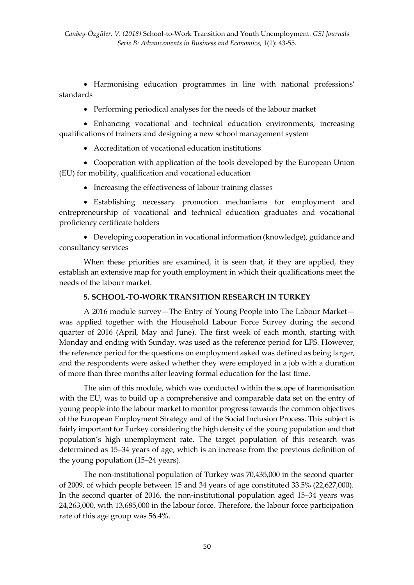Harmonising education programmes in line with national professions' standards

Performing periodical analyses for the needs of the labour market

 Enhancing vocational and technical education environments, increasing qualifications of trainers and designing a new school management system

Accreditation of vocational education institutions

 Cooperation with application of the tools developed by the European Union (EU) for mobility, qualification and vocational education

• Increasing the effectiveness of labour training classes

 Establishing necessary promotion mechanisms for employment and entrepreneurship of vocational and technical education graduates and vocational proficiency certificate holders

 Developing cooperation in vocational information (knowledge), guidance and consultancy services

When these priorities are examined, it is seen that, if they are applied, they establish an extensive map for youth employment in which their qualifications meet the needs of the labour market.

# **5. SCHOOL-TO-WORK TRANSITION RESEARCH IN TURKEY**

A 2016 module survey—The Entry of Young People into The Labour Market was applied together with the Household Labour Force Survey during the second quarter of 2016 (April, May and June). The first week of each month, starting with Monday and ending with Sunday, was used as the reference period for LFS. However, the reference period for the questions on employment asked was defined as being larger, and the respondents were asked whether they were employed in a job with a duration of more than three months after leaving formal education for the last time.

The aim of this module, which was conducted within the scope of harmonisation with the EU, was to build up a comprehensive and comparable data set on the entry of young people into the labour market to monitor progress towards the common objectives of the European Employment Strategy and of the Social Inclusion Process. This subject is fairly important for Turkey considering the high density of the young population and that population's high unemployment rate. The target population of this research was determined as 15–34 years of age, which is an increase from the previous definition of the young population (15–24 years).

The non-institutional population of Turkey was 70,435,000 in the second quarter of 2009, of which people between 15 and 34 years of age constituted 33.5% (22,627,000). In the second quarter of 2016, the non-institutional population aged 15–34 years was 24,263,000, with 13,685,000 in the labour force. Therefore, the labour force participation rate of this age group was 56.4%.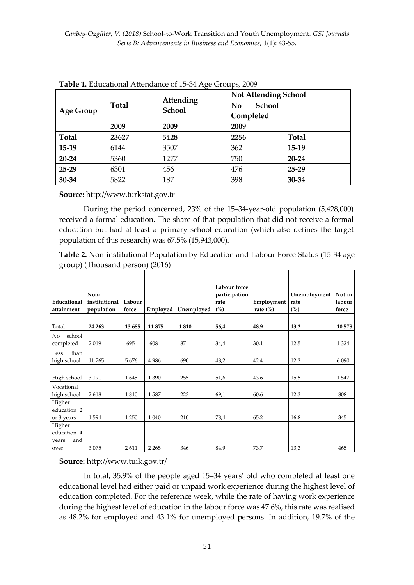| <b>Age Group</b> | <b>Total</b> | $\epsilon$<br>Attending<br><b>School</b> | <b>Not Attending School</b>     |              |  |
|------------------|--------------|------------------------------------------|---------------------------------|--------------|--|
|                  |              |                                          | <b>School</b><br>N <sub>o</sub> |              |  |
|                  |              |                                          | Completed                       |              |  |
|                  | 2009         | 2009                                     | 2009                            |              |  |
| <b>Total</b>     | 23627        | 5428                                     | 2256                            | <b>Total</b> |  |
| $15-19$          | 6144         | 3507                                     | 362                             | $15-19$      |  |
| 20-24            | 5360         | 1277                                     | 750                             | $20 - 24$    |  |
| $25-29$          | 6301         | 456                                      | 476                             | 25-29        |  |
| 30-34            | 5822         | 187                                      | 398                             | 30-34        |  |

**Table 1.** Educational Attendance of 15-34 Age Groups, 2009

**Source:** http://www.turkstat.gov.tr

During the period concerned, 23% of the 15–34-year-old population (5,428,000) received a formal education. The share of that population that did not receive a formal education but had at least a primary school education (which also defines the target population of this research) was 67.5% (15,943,000).

**Table 2.** Non-institutional Population by Education and Labour Force Status (15-34 age group) (Thousand person) (2016)

|                                       | Non-          |         |          |            | Labour force<br>participation |                        | Unemployment | Not in  |
|---------------------------------------|---------------|---------|----------|------------|-------------------------------|------------------------|--------------|---------|
| Educational                           | institutional | Labour  |          |            | rate                          | Employment             | rate         | labour  |
| attainment                            | population    | force   | Employed | Unemployed | (%)                           | rate $\left(\%\right)$ | (%)          | force   |
| Total                                 | 24 263        | 13 685  | 11875    | 1810       | 56,4                          | 48,9                   | 13,2         | 10 578  |
| school<br>No<br>completed             | 2019          | 695     | 608      | 87         | 34,4                          | 30,1                   | 12,5         | 1 3 2 4 |
| Less<br>than<br>high school           | 11765         | 5676    | 4986     | 690        | 48,2                          | 42,4                   | 12,2         | 6 0 9 0 |
| High school                           | 3 1 9 1       | 1645    | 1 3 9 0  | 255        | 51,6                          | 43,6                   | 15,5         | 1547    |
| Vocational<br>high school             | 2618          | 1810    | 1587     | 223        | 69,1                          | 60,6                   | 12,3         | 808     |
| Higher<br>education 2<br>or 3 years   | 1594          | 1 2 5 0 | 1 0 4 0  | 210        | 78,4                          | 65,2                   | 16,8         | 345     |
| Higher<br>education 4<br>and<br>years |               |         |          |            |                               |                        |              |         |
| over                                  | 3075          | 2611    | 2 2 6 5  | 346        | 84,9                          | 73,7                   | 13,3         | 465     |

**Source:** http://www.tuik.gov.tr/

In total, 35.9% of the people aged 15–34 years' old who completed at least one educational level had either paid or unpaid work experience during the highest level of education completed. For the reference week, while the rate of having work experience during the highest level of education in the labour force was 47.6%, this rate was realised as 48.2% for employed and 43.1% for unemployed persons. In addition, 19.7% of the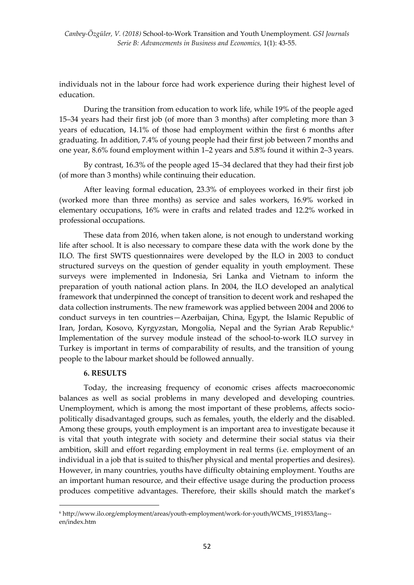individuals not in the labour force had work experience during their highest level of education.

During the transition from education to work life, while 19% of the people aged 15–34 years had their first job (of more than 3 months) after completing more than 3 years of education, 14.1% of those had employment within the first 6 months after graduating. In addition, 7.4% of young people had their first job between 7 months and one year, 8.6% found employment within 1–2 years and 5.8% found it within 2–3 years.

By contrast, 16.3% of the people aged 15–34 declared that they had their first job (of more than 3 months) while continuing their education.

After leaving formal education, 23.3% of employees worked in their first job (worked more than three months) as service and sales workers, 16.9% worked in elementary occupations, 16% were in crafts and related trades and 12.2% worked in professional occupations.

These data from 2016, when taken alone, is not enough to understand working life after school. It is also necessary to compare these data with the work done by the ILO. The first SWTS questionnaires were developed by the ILO in 2003 to conduct structured surveys on the question of gender equality in youth employment. These surveys were implemented in Indonesia, Sri Lanka and Vietnam to inform the preparation of youth national action plans. In 2004, the ILO developed an analytical framework that underpinned the concept of transition to decent work and reshaped the data collection instruments. The new framework was applied between 2004 and 2006 to conduct surveys in ten countries—Azerbaijan, China, Egypt, the Islamic Republic of Iran, Jordan, Kosovo, Kyrgyzstan, Mongolia, Nepal and the Syrian Arab Republic. 6 Implementation of the survey module instead of the school-to-work ILO survey in Turkey is important in terms of comparability of results, and the transition of young people to the labour market should be followed annually.

#### **6. RESULTS**

**.** 

Today, the increasing frequency of economic crises affects macroeconomic balances as well as social problems in many developed and developing countries. Unemployment, which is among the most important of these problems, affects sociopolitically disadvantaged groups, such as females, youth, the elderly and the disabled. Among these groups, youth employment is an important area to investigate because it is vital that youth integrate with society and determine their social status via their ambition, skill and effort regarding employment in real terms (i.e. employment of an individual in a job that is suited to this/her physical and mental properties and desires). However, in many countries, youths have difficulty obtaining employment. Youths are an important human resource, and their effective usage during the production process produces competitive advantages. Therefore, their skills should match the market's

<sup>6</sup> http://www.ilo.org/employment/areas/youth-employment/work-for-youth/WCMS\_191853/lang- en/index.htm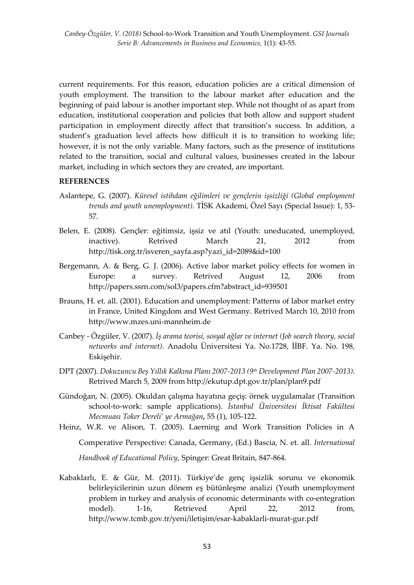current requirements. For this reason, education policies are a critical dimension of youth employment. The transition to the labour market after education and the beginning of paid labour is another important step. While not thought of as apart from education, institutional cooperation and policies that both allow and support student participation in employment directly affect that transition's success. In addition, a student's graduation level affects how difficult it is to transition to working life; however, it is not the only variable. Many factors, such as the presence of institutions related to the transition, social and cultural values, businesses created in the labour market, including in which sectors they are created, are important.

## **REFERENCES**

- Aslantepe, G. (2007). *Küresel istihdam eğilimleri ve gençlerin işsizliği (Global employment trends and youth unemployment)*. TİSK Akademi*,* Özel Sayı (Special Issue): 1, 53- 57.
- Belen, E. (2008). Gençler: eğitimsiz, işsiz ve atıl (Youth: uneducated, unemployed, inactive). Retrived March 21, 2012 from [http://tisk.org.tr/isveren\\_sayfa.asp?yazi\\_id=2089&id=100](http://tisk.org.tr/isveren_sayfa.asp?yazi_id=2089&id=100)
- Bergemann, A. & Berg, G. J. (2006). Active labor market policy effects for women in Europe: a survey. Retrived August 12, 2006 from [http://papers.ssrn.com/sol3/papers.cfm?abstract\\_id=939501](http://papers.ssrn.com/sol3/papers.cfm?abstract_id=939501)
- Brauns, H. et. all. (2001). Education and unemployment: Patterns of labor market entry in France, United Kingdom and West Germany. Retrived March 10, 2010 from [http://www.mzes.uni-mannheim.de](http://www.mzes.uni-mannheim.de/)
- Canbey Özgüler, V. (2007). *İş arama teorisi, sosyal ağlar ve internet (Job search theory, social networks and internet).* Anadolu Üniversitesi Ya. No.1728, İİBF. Ya. No. 198, Eskişehir.
- DPT (2007). *Dokuzuncu Beş Yıllık Kalkına Planı 2007-2013 (9th Development Plan 2007-2013)*. Retrived March 5, 2009 from<http://ekutup.dpt.gov.tr/plan/plan9.pdf>
- Gündoğan, N. (2005). Okuldan çalışma hayatına geçiş: örnek uygulamalar (Transition school-to-work: sample applications). *İstanbul Üniversitesi İktisat Fakültesi Mecmuası Toker Dereli' ye Armağan,* 55 (1), 105-122.
- Heinz, W.R. ve Alison, T. (2005). Laerning and Work Transition Policies in A Comperative Perspective: Canada, Germany, (Ed.) Bascia, N. et. all*. International Handbook of Educational Policy*, Spinger: Great Britain, 847-864.
- Kabaklarlı, E. & Gür, M. (2011). Türkiye'de genç işsizlik sorunu ve ekonomik belirleyicilerinin uzun dönem eş bütünleşme analizi (Youth unemployment problem in turkey and analysis of economic determinants with co-entegration model). 1-16, Retrieved April 22, 2012 from, [http://www.tcmb.gov.tr/yeni/iletişim/esar](http://www.tcmb.gov.tr/yeni/iletişim/esar-kabaklarli-murat-gur.pdf)-kabaklarli-murat-gur.pdf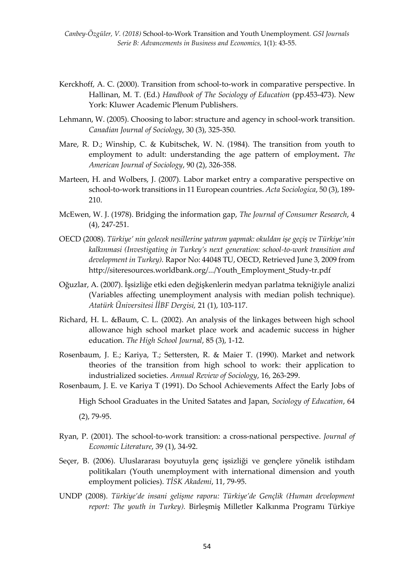- Kerckhoff, A. C. (2000). Transition from school-to-work in comparative perspective. In Hallinan, M. T. (Ed.) *Handbook of The Sociology of Education* (pp.453-473). New York: Kluwer Academic Plenum Publishers.
- Lehmann, W. (2005). Choosing to labor: structure and agency in school-work transition. *Canadian Journal of Sociology*, 30 (3), 325-350.
- Mare, R. D.; Winship, C. & Kubitschek, W. N. (1984). The transition from youth to employment to adult: understanding the age pattern of employment**.** *The American Journal of Sociology*, 90 (2), 326-358.
- Marteen, H. and Wolbers, J. (2007). Labor market entry a comparative perspective on school-to-work transitions in 11 European countries. *Acta Sociologica*, 50 (3), 189- 210.
- McEwen, W. J. (1978). Bridging the information gap, *The Journal of Consumer Research*, 4 (4), 247-251.
- OECD (2008). *Türkiye' nin gelecek nesillerine yatırım yapmak: okuldan işe geçiş ve Türkiye'nin kalkınmasi (Investigating in Turkey's next generation: school-to-work transition and development in Turkey).* Rapor No: 44048 TU, OECD, Retrieved June 3, 2009 from [http://siteresources.worldbank.org/.../Youth\\_Employment\\_Study-tr.pdf](http://siteresources.worldbank.org/.../Youth_Employment_Study-tr.pdf)
- Oğuzlar, A. (2007). İşsizliğe etki eden değişkenlerin medyan parlatma tekniğiyle analizi (Variables affecting unemployment analysis with median polish technique). *Atatürk Üniversitesi İİBF Dergisi,* 21 (1), 103-117.
- Richard, H. L. &Baum, C. L. (2002). An analysis of the linkages between high school allowance high school market place work and academic success in higher education. *The High School Journal*, 85 (3), 1-12.
- Rosenbaum, J. E.; Kariya, T.; Settersten, R. & Maier T. (1990). Market and network theories of the transition from high school to work: their application to industrialized societies. *Annual Review of Sociology*, 16, 263-299.
- Rosenbaum, J. E. ve Kariya T (1991). Do School Achievements Affect the Early Jobs of

High School Graduates in the United Satates and Japan, *Sociology of Education*, 64

(2), 79-95.

- Ryan, P. (2001). The school-to-work transition: a cross-national perspective. *Journal of Economic Literature*, 39 (1), 34-92.
- Seçer, B. (2006). Uluslararası boyutuyla genç işsizliği ve gençlere yönelik istihdam politikaları (Youth unemployment with international dimension and youth employment policies). *TİSK Akademi*, 11, 79-95.
- UNDP (2008). *Türkiye'de insani gelişme raporu: Türkiye'de Gençlik (Human development report: The youth in Turkey).* Birleşmiş Milletler Kalkınma Programı Türkiye